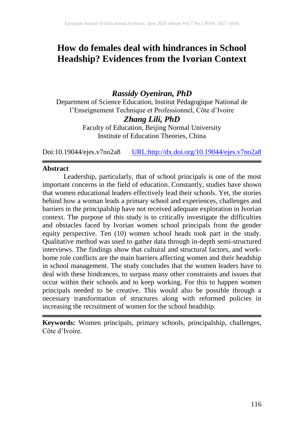# **How do females deal with hindrances in School Headship? Evidences from the Ivorian Context**

# *Rassidy Oyeniran, PhD*

Department of Science Education, Institut Pédagogique National de l'Enseignement Technique et Professionnel, Côte d'Ivoire

# *Zhang Lili, PhD*

Faculty of Education, Beijing Normal University Institute of Education Theories, China

Doi:10.19044/ejes.v7no2a8 [URL:http://dx.doi.org/10.19044/ejes.v7no2a8](http://dx.doi.org/10.19044/ejes.v7no2a8)

### **Abstract**

Leadership, particularly, that of school principals is one of the most important concerns in the field of education. Constantly, studies have shown that women educational leaders effectively lead their schools. Yet, the stories behind how a woman leads a primary school and experiences, challenges and barriers in the principalship have not received adequate exploration in Ivorian context. The purpose of this study is to critically investigate the difficulties and obstacles faced by Ivorian women school principals from the gender equity perspective. Ten (10) women school heads took part in the study. Qualitative method was used to gather data through in-depth semi-structured interviews. The findings show that cultural and structural factors, and workhome role conflicts are the main barriers affecting women and their headship in school management. The study concludes that the women leaders have to deal with these hindrances, to surpass many other constraints and issues that occur within their schools and to keep working. For this to happen women principals needed to be creative. This would also be possible through a necessary transformation of structures along with reformed policies in increasing the recruitment of women for the school headship.

**Keywords:** Women principals, primary schools, principalship, challenges, Côte d'Ivoire.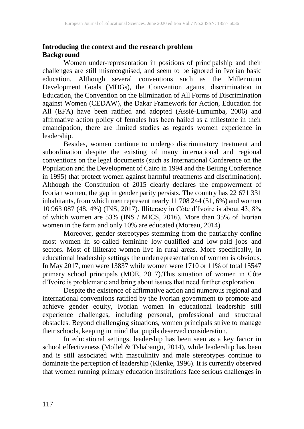# **Introducing the context and the research problem Background**

Women under-representation in positions of principalship and their challenges are still misrecognised, and seem to be ignored in Ivorian basic education. Although several conventions such as the Millennium Development Goals (MDGs), the Convention against discrimination in Education, the Convention on the Elimination of All Forms of Discrimination against Women (CEDAW), the Dakar Framework for Action, Education for All (EFA) have been ratified and adopted (Assié-Lumumba, 2006) and affirmative action policy of females has been hailed as a milestone in their emancipation, there are limited studies as regards women experience in leadership.

Besides, women continue to undergo discriminatory treatment and subordination despite the existing of many international and regional conventions on the legal documents (such as International Conference on the Population and the Development of Cairo in 1994 and the Beijing Conference in 1995) that protect women against harmful treatments and discrimination). Although the Constitution of 2015 clearly declares the empowerment of Ivorian women, the gap in gender parity persists. The country has 22 671 331 inhabitants, from which men represent nearly 11 708 244 (51, 6%) and women 10 963 087 (48, 4%) (INS, 2017). Illiteracy in Côte d'Ivoire is about 43, 8% of which women are 53% (INS / MICS, 2016). More than 35% of Ivorian women in the farm and only 10% are educated (Moreau, 2014).

Moreover, gender stereotypes stemming from the patriarchy confine most women in so-called feminine low-qualified and low-paid jobs and sectors. Most of illiterate women live in rural areas. More specifically, in educational leadership settings the underrepresentation of women is obvious. In May 2017, men were 13837 while women were 1710 or 11% of total 15547 primary school principals (MOE, 2017).This situation of women in Côte d'Ivoire is problematic and bring about issues that need further exploration.

Despite the existence of affirmative action and numerous regional and international conventions ratified by the Ivorian government to promote and achieve gender equity, Ivorian women in educational leadership still experience challenges, including personal, professional and structural obstacles. Beyond challenging situations, women principals strive to manage their schools, keeping in mind that pupils deserved consideration.

In educational settings, leadership has been seen as a key factor in school effectiveness (Mollel & Tshabangu, 2014), while leadership has been and is still associated with masculinity and male stereotypes continue to dominate the perception of leadership (Klenke, 1996). It is currently observed that women running primary education institutions face serious challenges in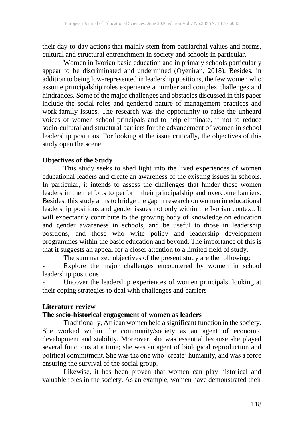their day-to-day actions that mainly stem from patriarchal values and norms, cultural and structural entrenchment in society and schools in particular.

Women in Ivorian basic education and in primary schools particularly appear to be discriminated and undermined (Oyeniran, 2018). Besides, in addition to being low-represented in leadership positions, the few women who assume principalship roles experience a number and complex challenges and hindrances. Some of the major challenges and obstacles discussed in this paper include the social roles and gendered nature of management practices and work-family issues. The research was the opportunity to raise the unheard voices of women school principals and to help eliminate, if not to reduce socio-cultural and structural barriers for the advancement of women in school leadership positions. For looking at the issue critically, the objectives of this study open the scene.

# **Objectives of the Study**

This study seeks to shed light into the lived experiences of women educational leaders and create an awareness of the existing issues in schools. In particular, it intends to assess the challenges that hinder these women leaders in their efforts to perform their principalship and overcome barriers. Besides, this study aims to bridge the gap in research on women in educational leadership positions and gender issues not only within the Ivorian context. It will expectantly contribute to the growing body of knowledge on education and gender awareness in schools, and be useful to those in leadership positions, and those who write policy and leadership development programmes within the basic education and beyond. The importance of this is that it suggests an appeal for a closer attention to a limited field of study.

The summarized objectives of the present study are the following:

Explore the major challenges encountered by women in school leadership positions

- Uncover the leadership experiences of women principals, looking at their coping strategies to deal with challenges and barriers

### **Literature review**

# **The socio-historical engagement of women as leaders**

Traditionally, African women held a significant function in the society. She worked within the community/society as an agent of economic development and stability. Moreover, she was essential because she played several functions at a time; she was an agent of biological reproduction and political commitment. She was the one who 'create' humanity, and was a force ensuring the survival of the social group.

Likewise, it has been proven that women can play historical and valuable roles in the society. As an example, women have demonstrated their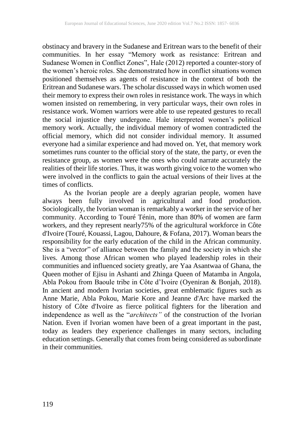obstinacy and bravery in the Sudanese and Eritrean wars to the benefit of their communities. In her essay "Memory work as resistance: Eritrean and Sudanese Women in Conflict Zones", Hale (2012) reported a counter-story of the women's heroic roles. She demonstrated how in conflict situations women positioned themselves as agents of resistance in the context of both the Eritrean and Sudanese wars. The scholar discussed ways in which women used their memory to express their own roles in resistance work. The ways in which women insisted on remembering, in very particular ways, their own roles in resistance work. Women warriors were able to use repeated gestures to recall the social injustice they undergone. Hale interpreted women's political memory work. Actually, the individual memory of women contradicted the official memory, which did not consider individual memory. It assumed everyone had a similar experience and had moved on. Yet, that memory work sometimes runs counter to the official story of the state, the party, or even the resistance group, as women were the ones who could narrate accurately the realities of their life stories. Thus, it was worth giving voice to the women who were involved in the conflicts to gain the actual versions of their lives at the times of conflicts.

As the Ivorian people are a deeply agrarian people, women have always been fully involved in agricultural and food production. Sociologically, the Ivorian woman is remarkably a worker in the service of her community. According to Touré Ténin, more than 80% of women are farm workers, and they represent nearly75% of the agricultural workforce in Côte d'Ivoire (Touré, Kouassi, Lagou, Dahoure, & Fofana, 2017). Woman bears the responsibility for the early education of the child in the African community. She is a "*vector*" of alliance between the family and the society in which she lives. Among those African women who played leadership roles in their communities and influenced society greatly, are Yaa Asantwaa of Ghana, the Queen mother of Ejisu in Ashanti and Zhinga Queen of Matamba in Angola, Abla Pokou from Baoule tribe in Côte d'Ivoire (Oyeniran & Bonjah, 2018). In ancient and modern Ivorian societies, great emblematic figures such as Anne Marie, Abla Pokou, Marie Kore and Jeanne d'Arc have marked the history of Côte d'Ivoire as fierce political fighters for the liberation and independence as well as the "*architects"* of the construction of the Ivorian Nation. Even if Ivorian women have been of a great important in the past, today as leaders they experience challenges in many sectors, including education settings. Generally that comes from being considered as subordinate in their communities.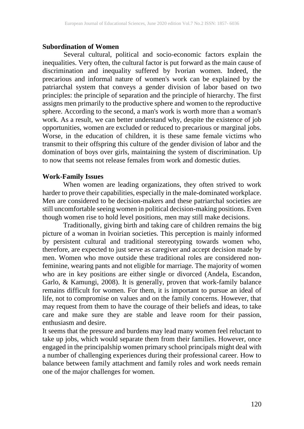#### **Subordination of Women**

Several cultural, political and socio-economic factors explain the inequalities. Very often, the cultural factor is put forward as the main cause of discrimination and inequality suffered by Ivorian women. Indeed, the precarious and informal nature of women's work can be explained by the patriarchal system that conveys a gender division of labor based on two principles: the principle of separation and the principle of hierarchy. The first assigns men primarily to the productive sphere and women to the reproductive sphere. According to the second, a man's work is worth more than a woman's work. As a result, we can better understand why, despite the existence of job opportunities, women are excluded or reduced to precarious or marginal jobs. Worse, in the education of children, it is these same female victims who transmit to their offspring this culture of the gender division of labor and the domination of boys over girls, maintaining the system of discrimination. Up to now that seems not release females from work and domestic duties.

# **Work-Family Issues**

When women are leading organizations, they often strived to work harder to prove their capabilities, especially in the male-dominated workplace. Men are considered to be decision-makers and these patriarchal societies are still uncomfortable seeing women in political decision-making positions. Even though women rise to hold level positions, men may still make decisions.

Traditionally, giving birth and taking care of children remains the big picture of a woman in Ivoirian societies. This perception is mainly informed by persistent cultural and traditional stereotyping towards women who, therefore, are expected to just serve as caregiver and accept decision made by men. Women who move outside these traditional roles are considered nonfeminine, wearing pants and not eligible for marriage. The majority of women who are in key positions are either single or divorced (Andela, Escandon, Garlo, & Kamungi, 2008). It is generally, proven that work-family balance remains difficult for women. For them, it is important to pursue an ideal of life, not to compromise on values and on the family concerns. However, that may request from them to have the courage of their beliefs and ideas, to take care and make sure they are stable and leave room for their passion, enthusiasm and desire.

It seems that the pressure and burdens may lead many women feel reluctant to take up jobs, which would separate them from their families. However, once engaged in the principalship women primary school principals might deal with a number of challenging experiences during their professional career. How to balance between family attachment and family roles and work needs remain one of the major challenges for women.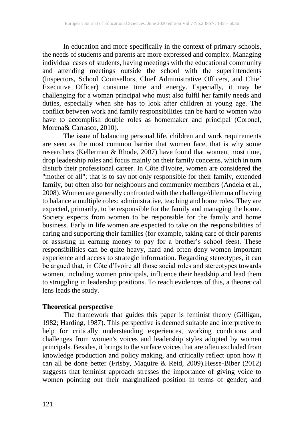In education and more specifically in the context of primary schools, the needs of students and parents are more expressed and complex. Managing individual cases of students, having meetings with the educational community and attending meetings outside the school with the superintendents (Inspectors, School Counsellors, Chief Administrative Officers, and Chief Executive Officer) consume time and energy. Especially, it may be challenging for a woman principal who must also fulfil her family needs and duties, especially when she has to look after children at young age. The conflict between work and family responsibilities can be hard to women who have to accomplish double roles as homemaker and principal (Coronel, Morena& Carrasco, 2010).

The issue of balancing personal life, children and work requirements are seen as the most common barrier that women face, that is why some researchers (Kellerman & Rhode, 2007) have found that women, most time, drop leadership roles and focus mainly on their family concerns, which in turn disturb their professional career. In Côte d'Ivoire, women are considered the "mother of all"; that is to say not only responsible for their family, extended family, but often also for neighbours and community members (Andela et al., 2008). Women are generally confronted with the challenge/dilemma of having to balance a multiple roles: administrative, teaching and home roles. They are expected, primarily, to be responsible for the family and managing the home. Society expects from women to be responsible for the family and home business. Early in life women are expected to take on the responsibilities of caring and supporting their families (for example, taking care of their parents or assisting in earning money to pay for a brother's school fees). These responsibilities can be quite heavy, hard and often deny women important experience and access to strategic information. Regarding stereotypes, it can be argued that, in Côte d'Ivoire all those social roles and stereotypes towards women, including women principals, influence their headship and lead them to struggling in leadership positions. To reach evidences of this, a theoretical lens leads the study.

### **Theoretical perspective**

The framework that guides this paper is feminist theory (Gilligan, 1982; Harding, 1987). This perspective is deemed suitable and interpretive to help for critically understanding experiences, working conditions and challenges from women's voices and leadership styles adopted by women principals. Besides, it brings to the surface voices that are often excluded from knowledge production and policy making, and critically reflect upon how it can all be done better (Frisby, Maguire & Reid, 2009).Hesse-Biber (2012) suggests that feminist approach stresses the importance of giving voice to women pointing out their marginalized position in terms of gender; and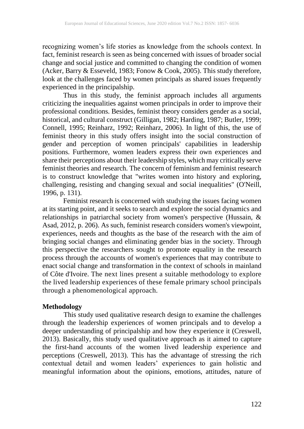recognizing women's life stories as knowledge from the schools context. In fact, feminist research is seen as being concerned with issues of broader social change and social justice and committed to changing the condition of women (Acker, Barry & Esseveld, 1983; Fonow & Cook, 2005). This study therefore, look at the challenges faced by women principals as shared issues frequently experienced in the principalship.

Thus in this study, the feminist approach includes all arguments criticizing the inequalities against women principals in order to improve their professional conditions. Besides, feminist theory considers gender as a social, historical, and cultural construct (Gilligan, 1982; Harding, 1987; Butler, 1999; Connell, 1995; Reinharz, 1992; Reinharz, 2006). In light of this, the use of feminist theory in this study offers insight into the social construction of gender and perception of women principals' capabilities in leadership positions. Furthermore, women leaders express their own experiences and share their perceptions about their leadership styles, which may critically serve feminist theories and research. The concern of feminism and feminist research is to construct knowledge that "writes women into history and exploring, challenging, resisting and changing sexual and social inequalities" (O'Neill, 1996, p. 131).

Feminist research is concerned with studying the issues facing women at its starting point, and it seeks to search and explore the social dynamics and relationships in patriarchal society from women's perspective (Hussain, & Asad, 2012, p. 206). As such, feminist research considers women's viewpoint, experiences, needs and thoughts as the base of the research with the aim of bringing social changes and eliminating gender bias in the society. Through this perspective the researchers sought to promote equality in the research process through the accounts of women's experiences that may contribute to enact social change and transformation in the context of schools in mainland of Côte d'Ivoire. The next lines present a suitable methodology to explore the lived leadership experiences of these female primary school principals through a phenomenological approach.

#### **Methodology**

This study used qualitative research design to examine the challenges through the leadership experiences of women principals and to develop a deeper understanding of principalship and how they experience it (Creswell, 2013). Basically, this study used qualitative approach as it aimed to capture the first-hand accounts of the women lived leadership experience and perceptions (Creswell, 2013). This has the advantage of stressing the rich contextual detail and women leaders' experiences to gain holistic and meaningful information about the opinions, emotions, attitudes, nature of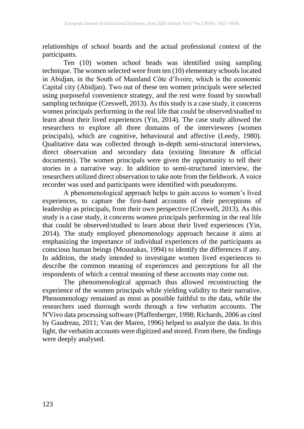relationships of school boards and the actual professional context of the participants.

Ten (10) women school heads was identified using sampling technique. The women selected were from ten (10) elementary schools located in Abidjan, in the South of Mainland Côte d'Ivoire, which is the economic Capital city (Abidjan). Two out of these ten women principals were selected using purposeful convenience strategy, and the rest were found by snowball sampling technique (Creswell, 2013). As this study is a case study, it concerns women principals performing in the real life that could be observed/studied to learn about their lived experiences (Yin, 2014). The case study allowed the researchers to explore all three domains of the interviewees (women principals), which are cognitive, behavioural and affective (Leedy, 1980). Qualitative data was collected through in-depth semi-structural interviews, direct observation and secondary data (existing literature & official documents). The women principals were given the opportunity to tell their stories in a narrative way. In addition to semi-structured interview, the researchers utilized direct observation to take note from the fieldwork. A voice recorder was used and participants were identified with pseudonyms.

A phenomenological approach helps to gain access to women's lived experiences, to capture the first-hand accounts of their perceptions of leadership as principals, from their own perspective (Creswell, 2013). As this study is a case study, it concerns women principals performing in the real life that could be observed/studied to learn about their lived experiences (Yin, 2014). The study employed phenomenology approach because it aims at emphasizing the importance of individual experiences of the participants as conscious human beings (Moustakas, 1994) to identify the differences if any. In addition, the study intended to investigate women lived experiences to describe the common meaning of experiences and perceptions for all the respondents of which a central meaning of these accounts may come out.

The phenomenological approach thus allowed reconstructing the experience of the women principals while yielding validity to their narrative. Phenomenology remained as most as possible faithful to the data, while the researchers used thorough words through a few verbatim accounts. The N'Vivo data processing software (Pfaffenberger, 1998; Richards, 2006 as cited by Gaudreau, 2011; Van der Maren, 1996) helped to analyze the data. In this light, the verbatim accounts were digitized and stored. From there, the findings were deeply analysed.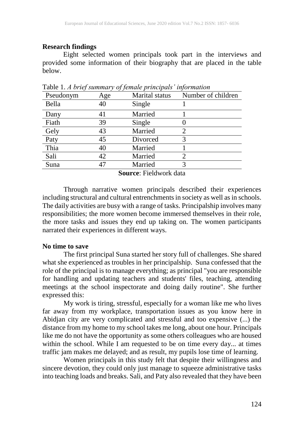# **Research findings**

Eight selected women principals took part in the interviews and provided some information of their biography that are placed in the table below.

| Pseudonym | Age | Marital status | Number of children |
|-----------|-----|----------------|--------------------|
| Bella     | 40  | Single         |                    |
| Dany      | 41  | Married        |                    |
| Fiath     | 39  | Single         |                    |
| Gely      | 43  | Married        |                    |
| Paty      | 45  | Divorced       |                    |
| Thia      | 40  | Married        |                    |
| Sali      | 42  | Married        |                    |
| Suna      | 47  | Married        |                    |
|           |     |                |                    |

Table 1. *A brief summary of female principals' information*

**Source**: Fieldwork data

Through narrative women principals described their experiences including structural and cultural entrenchments in society as well as in schools. The daily activities are busy with a range of tasks. Principalship involves many responsibilities; the more women become immersed themselves in their role, the more tasks and issues they end up taking on. The women participants narrated their experiences in different ways.

# **No time to save**

The first principal Suna started her story full of challenges. She shared what she experienced as troubles in her principalship. Suna confessed that the role of the principal is to manage everything; as principal "you are responsible for handling and updating teachers and students' files, teaching, attending meetings at the school inspectorate and doing daily routine". She further expressed this:

My work is tiring, stressful, especially for a woman like me who lives far away from my workplace, transportation issues as you know here in Abidjan city are very complicated and stressful and too expensive (...) the distance from my home to my school takes me long, about one hour. Principals like me do not have the opportunity as some others colleagues who are housed within the school. While I am requested to be on time every day... at times traffic jam makes me delayed; and as result, my pupils lose time of learning.

Women principals in this study felt that despite their willingness and sincere devotion, they could only just manage to squeeze administrative tasks into teaching loads and breaks. Sali, and Paty also revealed that they have been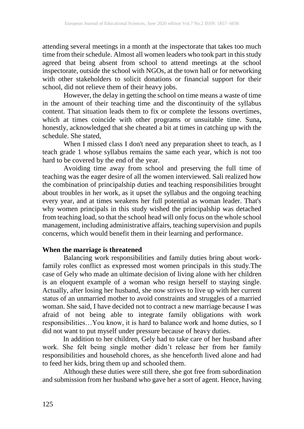attending several meetings in a month at the inspectorate that takes too much time from their schedule. Almost all women leaders who took part in this study agreed that being absent from school to attend meetings at the school inspectorate, outside the school with NGOs, at the town hall or for networking with other stakeholders to solicit donations or financial support for their school, did not relieve them of their heavy jobs.

However, the delay in getting the school on time means a waste of time in the amount of their teaching time and the discontinuity of the syllabus content. That situation leads them to fix or complete the lessons overtimes, which at times coincide with other programs or unsuitable time. Suna**,** honestly, acknowledged that she cheated a bit at times in catching up with the schedule. She stated,

When I missed class I don't need any preparation sheet to teach, as I teach grade 1 whose syllabus remains the same each year, which is not too hard to be covered by the end of the year.

Avoiding time away from school and preserving the full time of teaching was the eager desire of all the women interviewed. Sali realized how the combination of principalship duties and teaching responsibilities brought about troubles in her work, as it upset the syllabus and the ongoing teaching every year, and at times weakens her full potential as woman leader. That's why women principals in this study wished the principalship was detached from teaching load, so that the school head will only focus on the whole school management, including administrative affairs, teaching supervision and pupils concerns, which would benefit them in their learning and performance.

# **When the marriage is threatened**

Balancing work responsibilities and family duties bring about workfamily roles conflict as expressed most women principals in this study.The case of Gely who made an ultimate decision of living alone with her children is an eloquent example of a woman who resign herself to staying single. Actually, after losing her husband, she now strives to live up with her current status of an unmarried mother to avoid constraints and struggles of a married woman. She said, I have decided not to contract a new marriage because I was afraid of not being able to integrate family obligations with work responsibilities…You know, it is hard to balance work and home duties, so I did not want to put myself under pressure because of heavy duties.

In addition to her children, Gely had to take care of her husband after work. She felt being single mother didn't release her from her family responsibilities and household chores, as she henceforth lived alone and had to feed her kids, bring them up and schooled them.

Although these duties were still there, she got free from subordination and submission from her husband who gave her a sort of agent. Hence, having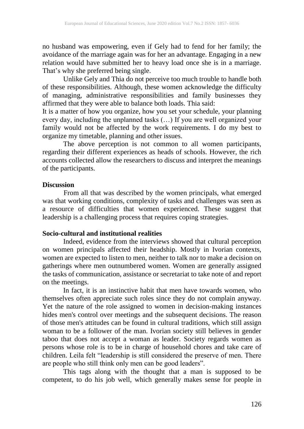no husband was empowering, even if Gely had to fend for her family; the avoidance of the marriage again was for her an advantage. Engaging in a new relation would have submitted her to heavy load once she is in a marriage. That's why she preferred being single.

Unlike Gely and Thia do not perceive too much trouble to handle both of these responsibilities. Although, these women acknowledge the difficulty of managing, administrative responsibilities and family businesses they affirmed that they were able to balance both loads. Thia said:

It is a matter of how you organize, how you set your schedule, your planning every day, including the unplanned tasks (…) If you are well organized your family would not be affected by the work requirements. I do my best to organize my timetable, planning and other issues.

The above perception is not common to all women participants, regarding their different experiences as heads of schools. However, the rich accounts collected allow the researchers to discuss and interpret the meanings of the participants.

#### **Discussion**

From all that was described by the women principals, what emerged was that working conditions, complexity of tasks and challenges was seen as a resource of difficulties that women experienced. These suggest that leadership is a challenging process that requires coping strategies.

#### **Socio-cultural and institutional realities**

Indeed, evidence from the interviews showed that cultural perception on women principals affected their headship. Mostly in Ivorian contexts, women are expected to listen to men, neither to talk nor to make a decision on gatherings where men outnumbered women. Women are generally assigned the tasks of communication, assistance or secretariat to take note of and report on the meetings.

In fact, it is an instinctive habit that men have towards women, who themselves often appreciate such roles since they do not complain anyway. Yet the nature of the role assigned to women in decision-making instances hides men's control over meetings and the subsequent decisions. The reason of those men's attitudes can be found in cultural traditions, which still assign woman to be a follower of the man. Ivorian society still believes in gender taboo that does not accept a woman as leader. Society regards women as persons whose role is to be in charge of household chores and take care of children. Leila felt "leadership is still considered the preserve of men. There are people who still think only men can be good leaders".

This tags along with the thought that a man is supposed to be competent, to do his job well, which generally makes sense for people in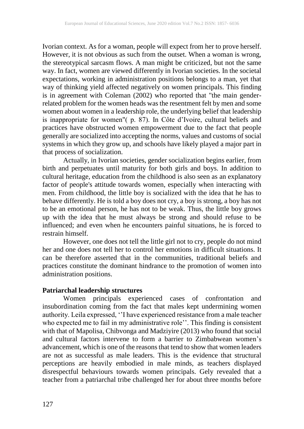Ivorian context. As for a woman, people will expect from her to prove herself. However, it is not obvious as such from the outset. When a woman is wrong, the stereotypical sarcasm flows. A man might be criticized, but not the same way. In fact, women are viewed differently in Ivorian societies. In the societal expectations, working in administration positions belongs to a man, yet that way of thinking yield affected negatively on women principals. This finding is in agreement with Coleman (2002) who reported that "the main genderrelated problem for the women heads was the resentment felt by men and some women about women in a leadership role, the underlying belief that leadership is inappropriate for women"( p. 87). In Côte d'Ivoire, cultural beliefs and practices have obstructed women empowerment due to the fact that people generally are socialized into accepting the norms, values and customs of social systems in which they grow up, and schools have likely played a major part in that process of socialization.

Actually, in Ivorian societies, gender socialization begins earlier, from birth and perpetuates until maturity for both girls and boys. In addition to cultural heritage, education from the childhood is also seen as an explanatory factor of people's attitude towards women, especially when interacting with men. From childhood, the little boy is socialized with the idea that he has to behave differently. He is told a boy does not cry, a boy is strong, a boy has not to be an emotional person, he has not to be weak. Thus, the little boy grows up with the idea that he must always be strong and should refuse to be influenced; and even when he encounters painful situations, he is forced to restrain himself.

However, one does not tell the little girl not to cry, people do not mind her and one does not tell her to control her emotions in difficult situations. It can be therefore asserted that in the communities, traditional beliefs and practices constitute the dominant hindrance to the promotion of women into administration positions.

# **Patriarchal leadership structures**

Women principals experienced cases of confrontation and insubordination coming from the fact that males kept undermining women authority. Leila expressed, ''I have experienced resistance from a male teacher who expected me to fail in my administrative role''. This finding is consistent with that of Mapolisa, Chibvonga and Madziyire (2013) who found that social and cultural factors intervene to form a barrier to Zimbabwean women's advancement, which is one of the reasons that tend to show that women leaders are not as successful as male leaders. This is the evidence that structural perceptions are heavily embodied in male minds, as teachers displayed disrespectful behaviours towards women principals. Gely revealed that a teacher from a patriarchal tribe challenged her for about three months before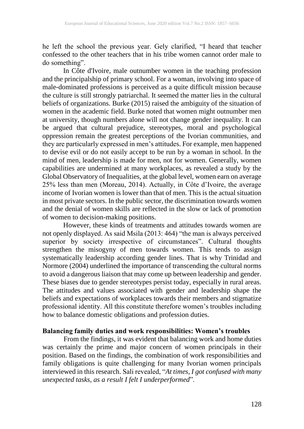he left the school the previous year. Gely clarified, "I heard that teacher confessed to the other teachers that in his tribe women cannot order male to do something".

In Côte d'Ivoire, male outnumber women in the teaching profession and the principalship of primary school. For a woman, involving into space of male-dominated professions is perceived as a quite difficult mission because the culture is still strongly patriarchal. It seemed the matter lies in the cultural beliefs of organizations. Burke (2015) raised the ambiguity of the situation of women in the academic field. Burke noted that women might outnumber men at university, though numbers alone will not change gender inequality. It can be argued that cultural prejudice, stereotypes, moral and psychological oppression remain the greatest perceptions of the Ivorian communities, and they are particularly expressed in men's attitudes. For example, men happened to devise evil or do not easily accept to be run by a woman in school. In the mind of men, leadership is made for men, not for women. Generally, women capabilities are undermined at many workplaces, as revealed a study by the Global Observatory of Inequalities, at the global level, women earn on average 25% less than men (Moreau, 2014). Actually, in Côte d'Ivoire, the average income of Ivorian women is lower than that of men. This is the actual situation in most private sectors. In the public sector, the discrimination towards women and the denial of women skills are reflected in the slow or lack of promotion of women to decision-making positions.

However, these kinds of treatments and attitudes towards women are not openly displayed. As said Msila (2013: 464) "the man is always perceived superior by society irrespective of circumstances". Cultural thoughts strengthen the misogyny of men towards women. This tends to assign systematically leadership according gender lines. That is why Trinidad and Normore (2004) underlined the importance of transcending the cultural norms to avoid a dangerous liaison that may come up between leadership and gender. These biases due to gender stereotypes persist today, especially in rural areas. The attitudes and values associated with gender and leadership shape the beliefs and expectations of workplaces towards their members and stigmatize professional identity. All this constitute therefore women's troubles including how to balance domestic obligations and profession duties.

### **Balancing family duties and work responsibilities: Women's troubles**

From the findings, it was evident that balancing work and home duties was certainly the prime and major concern of women principals in their position. Based on the findings, the combination of work responsibilities and family obligations is quite challenging for many Ivorian women principals interviewed in this research. Sali revealed, "*At times, I got confused with many unexpected tasks, as a result I felt I underperformed*".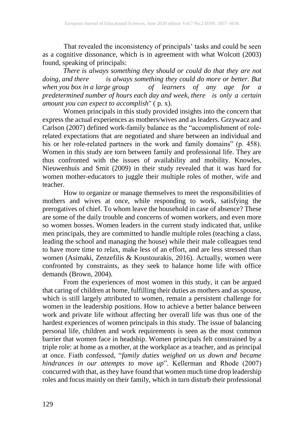That revealed the inconsistency of principals' tasks and could be seen as a cognitive dissonance, which is in agreement with what Wolcott (2003) found, speaking of principals:

*There is always something they should or could do that they are not doing, and there is always something they could do more or better. But* when you box in a large group **of** learners of any age for a *when you box in a large group of learners of any age for a predetermined number of hours each day and week, there is only a certain amount you can expect to accomplish*" ( p. x).

Women principals in this study provided insights into the concern that express the actual experiences as mothers/wives and as leaders. Grzywacz and Carlson (2007) defined work-family balance as the "accomplishment of rolerelated expectations that are negotiated and share between an individual and his or her role-related partners in the work and family domains" (p. 458). Women in this study are torn between family and professional life. They are thus confronted with the issues of availability and mobility. Knowles, Nieuwenhuis and Smit (2009) in their study revealed that it was hard for women mother-educators to juggle their multiple roles of mother, wife and teacher.

How to organize or manage themselves to meet the responsibilities of mothers and wives at once, while responding to work, satisfying the prerogatives of chief. To whom leave the household in case of absence? These are some of the daily trouble and concerns of women workers, and even more so women bosses. Women leaders in the current study indicated that, unlike men principals, they are committed to handle multiple roles (teaching a class, leading the school and managing the house) while their male colleagues tend to have more time to relax, make less of an effort, and are less stressed than women (Asimaki, Zenzefilis & Koustourakis, 2016). Actually, women were confronted by constraints, as they seek to balance home life with office demands (Brown, 2004).

From the experiences of most women in this study, it can be argued that caring of children at home, fulfilling their duties as mothers and as spouse, which is still largely attributed to women, remain a persistent challenge for women in the leadership positions. How to achieve a better balance between work and private life without affecting her overall life was thus one of the hardest experiences of women principals in this study. The issue of balancing personal life, children and work requirements is seen as the most common barrier that women face in headship. Women principals felt constrained by a triple role: at home as a mother, at the workplace as a teacher, and as principal at once. Fiath confessed, "*family duties weighed on us down and became hindrances in our attempts to move up*". Kellerman and Rhode (2007) concurred with that, as they have found that women much time drop leadership roles and focus mainly on their family, which in turn disturb their professional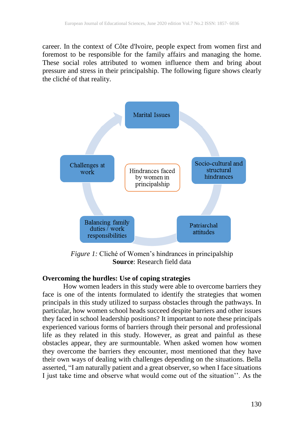career. In the context of Côte d'Ivoire, people expect from women first and foremost to be responsible for the family affairs and managing the home. These social roles attributed to women influence them and bring about pressure and stress in their principalship. The following figure shows clearly the cliché of that reality.



*Figure 1:* Cliché of Women's hindrances in principalship **Source**: Research field data

# **Overcoming the hurdles: Use of coping strategies**

How women leaders in this study were able to overcome barriers they face is one of the intents formulated to identify the strategies that women principals in this study utilized to surpass obstacles through the pathways. In particular, how women school heads succeed despite barriers and other issues they faced in school leadership positions? It important to note these principals experienced various forms of barriers through their personal and professional life as they related in this study. However, as great and painful as these obstacles appear, they are surmountable. When asked women how women they overcome the barriers they encounter, most mentioned that they have their own ways of dealing with challenges depending on the situations. Bella asserted, "I am naturally patient and a great observer, so when I face situations I just take time and observe what would come out of the situation''. As the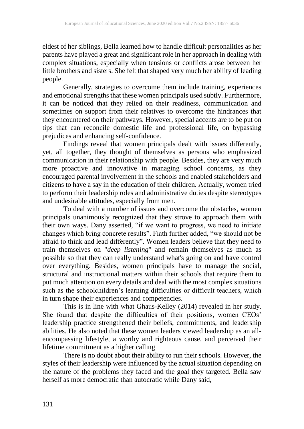eldest of her siblings, Bella learned how to handle difficult personalities as her parents have played a great and significant role in her approach in dealing with complex situations, especially when tensions or conflicts arose between her little brothers and sisters. She felt that shaped very much her ability of leading people.

Generally, strategies to overcome them include training, experiences and emotional strengths that these women principals used subtly. Furthermore, it can be noticed that they relied on their readiness, communication and sometimes on support from their relatives to overcome the hindrances that they encountered on their pathways. However, special accents are to be put on tips that can reconcile domestic life and professional life, on bypassing prejudices and enhancing self-confidence.

Findings reveal that women principals dealt with issues differently, yet, all together, they thought of themselves as persons who emphasized communication in their relationship with people. Besides, they are very much more proactive and innovative in managing school concerns, as they encouraged parental involvement in the schools and enabled stakeholders and citizens to have a say in the education of their children. Actually, women tried to perform their leadership roles and administrative duties despite stereotypes and undesirable attitudes, especially from men.

To deal with a number of issues and overcome the obstacles, women principals unanimously recognized that they strove to approach them with their own ways. Dany asserted, "if we want to progress, we need to initiate changes which bring concrete results". Fiath further added, "we should not be afraid to think and lead differently". Women leaders believe that they need to train themselves on "*deep listening*" and remain themselves as much as possible so that they can really understand what's going on and have control over everything. Besides, women principals have to manage the social, structural and instructional matters within their schools that require them to put much attention on every details and deal with the most complex situations such as the schoolchildren's learning difficulties or difficult teachers, which in turn shape their experiences and competencies.

This is in line with what Ghaus-Kelley (2014) revealed in her study. She found that despite the difficulties of their positions, women CEOs' leadership practice strengthened their beliefs, commitments, and leadership abilities. He also noted that these women leaders viewed leadership as an allencompassing lifestyle, a worthy and righteous cause, and perceived their lifetime commitment as a higher calling

There is no doubt about their ability to run their schools. However, the styles of their leadership were influenced by the actual situation depending on the nature of the problems they faced and the goal they targeted. Bella saw herself as more democratic than autocratic while Dany said,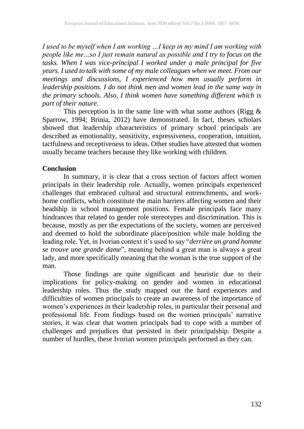*I used to be myself when I am working …I keep in my mind I am working with people like me…so I just remain natural as possible and I try to focus on the tasks. When I was vice-principal I worked under a male principal for five years. I used to talk with some of my male colleagues when we meet. From our meetings and discussions, I experienced how men usually perform in leadership positions. I do not think men and women lead in the same way in the primary schools*. *Also, I think women have something different which is part of their nature*.

This perception is in the same line with what some authors (Rigg  $\&$ Sparrow, 1994; Brinia, 2012) have demonstrated. In fact, theses scholars showed that leadership characteristics of primary school principals are described as emotionality, sensitivity, expressiveness, cooperation, intuition, tactfulness and receptiveness to ideas. Other studies have attested that women usually became teachers because they like working with children.

### **Conclusion**

In summary, it is clear that a cross section of factors affect women principals in their leadership role. Actually, women principals experienced challenges that embraced cultural and structural entrenchments, and workhome conflicts, which constitute the main barriers affecting women and their headship in school management positions. Female principals face many hindrances that related to gender role stereotypes and discrimination. This is because, mostly as per the expectations of the society, women are perceived and deemed to hold the subordinate place/position while male holding the leading role. Yet, in Ivorian context it's used to say "*derrière un grand homme se trouve une grande dame*", meaning behind a great man is always a great lady, and more specifically meaning that the woman is the true support of the man.

Those findings are quite significant and heuristic due to their implications for policy-making on gender and women in educational leadership roles. Thus the study mapped out the hard experiences and difficulties of women principals to create an awareness of the importance of women's experiences in their leadership roles, in particular their personal and professional life. From findings based on the women principals' narrative stories, it was clear that women principals had to cope with a number of challenges and prejudices that persisted in their principalship. Despite a number of hurdles, these Ivorian women principals performed as they can.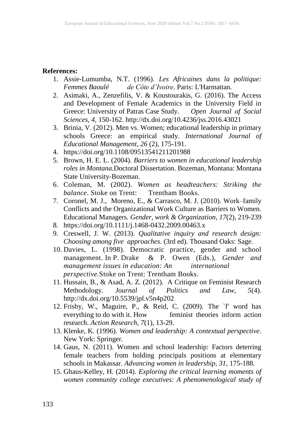#### **References:**

- 1. Assie-Lumumba, N.T. (1996). *Les Africaines dans la politique: Femmes Baoulé de Côte d'Ivoire*. Paris: L'Harmattan.
- 2. Asimaki, A., Zenzefilis, V. & Koustourakis, G. (2016). The Access and Development of Female Academics in the University Field in Greece: University of Patras Case Study. *Open Journal of Social Sciences, 4*, 150-162. http://dx.doi.org/10.4236/jss.2016.43021
- 3. Brinia, V. (2012). Men vs. Women; educational leadership in primary schools Greece: an empirical study. *International Journal of Educational Management, 26* (2), 175-191.
- 4. <https://doi.org/10.1108/09513541211201988>
- 5. Brown, H. E. L. (2004). *Barriers to women in educational leadership roles in Montana.*Doctoral Dissertation. Bozeman, Montana: Montana State University-Bozeman.
- 6. Coleman, M. (2002). *Women as headteachers: Striking the balance*. Stoke on Trent: Trentham Books.
- 7. [Coronel,](https://onlinelibrary.wiley.com/action/doSearch?ContribAuthorStored=Coronel%2C+Jos%C3%A9+M) M. J., [Moreno,](https://onlinelibrary.wiley.com/action/doSearch?ContribAuthorStored=Moreno%2C+E) E., & [Carrasco,](https://onlinelibrary.wiley.com/action/doSearch?ContribAuthorStored=Carrasco%2C+Mar%C3%ADa+J) M. J. (2010). Work–family Conflicts and the Organizational Work Culture as Barriers to Women. Educational Managers*. Gender, work & Organization, 17*(2), 219-239
- 8. <https://doi.org/10.1111/j.1468-0432.2009.00463.x>
- 9. Creswell, J. W. (2013). *Qualitative inquiry and research design: Choosing among five approaches*. (3rd ed). Thousand Oaks: Sage.
- 10. Davies, L. (1998). Democratic practice, gender and school management. In P. Drake & P. Owen (Eds.), *Gender and management issues in education: An international perspective.*Stoke on Trent: Trentham Books.
- 11. Hussain, B., & Asad, A. Z. (2012). A Critique on Feminist Research Methodology. *Journal of Politics and Law, 5*(4). <http://dx.doi.org/10.5539/jpl.v5n4p202>
- 12. Frisby, W., Maguire, P., & Reid, C. (2009). The `f' word has everything to do with it. How feminist theories inform action research. *Action Research, 7*(1), 13-29.
- 13. Klenke, K. (1996). *Women and leadership: A contextual perspective*. New York: Springer.
- 14. Gaus, N. (2011). Women and school leadership: Factors deterring female teachers from holding principals positions at elementary schools in Makassar. *Advancing women in leadership, 31*, 175-188.
- 15. Ghaus-Kelley, H. (2014). *Exploring the critical learning moments of women community college executives: A phenomenological study of*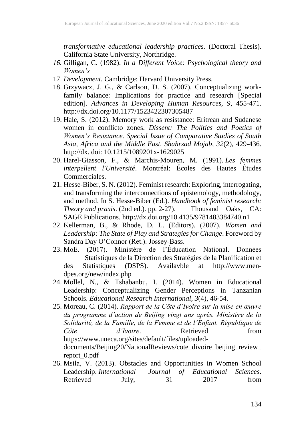*transformative educational leadership practices*. (Doctoral Thesis). California State University, Northridge.

- *16.* Gilligan, C. (1982). *In a Different Voice: Psychological theory and Women's*
- 17. *Development*. Cambridge: Harvard University Press.
- 18. Grzywacz, J. G., & Carlson, D. S. (2007). Conceptualizing workfamily balance: Implications for practice and research [Special edition]. *Advances in Developing Human Resources, 9*, 455-471. http://dx.doi.org/10.1177/1523422307305487
- 19. Hale, S. (2012). Memory work as resistance: Eritrean and Sudanese women in conflicto zones. *Dissent: The Politics and Poetics of Women's Resistance. Special Issue of Comparative Studies of South Asia, Africa and the Middle East, Shahrzad Mojab*, *32*(2), 429-436. http://dx. doi: 10.1215/1089201x-1629025
- 20. Harel-Giasson, F., & Marchis-Mouren, M. (1991). *Les femmes interpellent l'Université*. Montréal: Écoles des Hautes Études Commerciales.
- 21. Hesse-Biber, S. N. (2012). Feminist research: Exploring, interrogating, and transforming the interconnections of epistemology, methodology, and method. In S. Hesse-Biber (Ed.). *Handbook of feminist research: Theory and praxis*. (2nd ed.). pp. 2-27). Thousand Oaks, CA: SAGE Publications.<http://dx.doi.org/10.4135/9781483384740.n1>
- 22. Kellerman, B., & Rhode, D. L. (Editors). (2007). *Women and Leadership: The State of Play and Strategies for Change*. Foreword by Sandra Day O'Connor (Ret.). Jossey-Bass.
- 23. MoE. (2017). Ministère de l'Éducation National. Données Statistiques de la Direction des Stratégies de la Planification et des Statistiques (DSPS). Availavble at http://www.mendpes.org/new/index.php
- 24. Mollel, N., & Tshabanbu, I. (2014). Women in Educational Leadership: Conceptualizing Gender Perceptions in Tanzanian Schools. *Educational Research International, 3*(4), 46-54.
- 25. Moreau, C. (2014). *Rapport de la Côte d'Ivoire sur la mise en œuvre du programme d'action de Beijing vingt ans après. Ministère de la Solidarité, de la Famille, de la Femme et de l'Enfant. République de Côte d'Ivoire*. Retrieved from [https://www.uneca.org/sites/default/files/uploaded](https://www.uneca.org/sites/default/files/uploaded-)documents/Beijing20/NationalReviews/cote\_divoire\_beijing\_review\_ report\_0.pdf
- 26. Msila, V. (2013). Obstacles and Opportunities in Women School Leadership. *International Journal of Educational Sciences*. Retrieved July, 31 2017 from